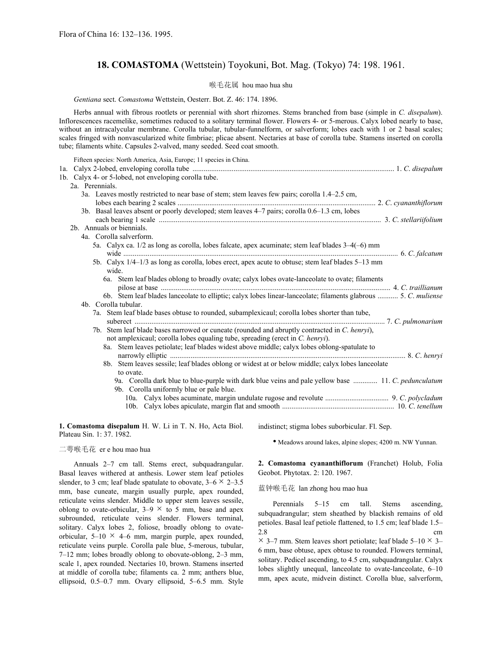# **18. COMASTOMA** (Wettstein) Toyokuni, Bot. Mag. (Tokyo) 74: 198. 1961.

## 喉毛花属 hou mao hua shu

*Gentiana* sect. *Comastoma* Wettstein, Oesterr. Bot. Z. 46: 174. 1896.

Herbs annual with fibrous rootlets or perennial with short rhizomes. Stems branched from base (simple in *C. disepalum*). Inflorescences racemelike, sometimes reduced to a solitary terminal flower. Flowers 4- or 5-merous. Calyx lobed nearly to base, without an intracalycular membrane. Corolla tubular, tubular-funnelform, or salverform; lobes each with 1 or 2 basal scales; scales fringed with nonvascularized white fimbriae; plicae absent. Nectaries at base of corolla tube. Stamens inserted on corolla tube; filaments white. Capsules 2-valved, many seeded. Seed coat smooth.

| Fifteen species: North America, Asia, Europe; 11 species in China.                                             |  |
|----------------------------------------------------------------------------------------------------------------|--|
|                                                                                                                |  |
| 1b. Calyx 4- or 5-lobed, not enveloping corolla tube.                                                          |  |
| 2a. Perennials.                                                                                                |  |
| 3a. Leaves mostly restricted to near base of stem; stem leaves few pairs; corolla 1.4–2.5 cm,                  |  |
|                                                                                                                |  |
| 3b. Basal leaves absent or poorly developed; stem leaves 4–7 pairs; corolla 0.6–1.3 cm, lobes                  |  |
|                                                                                                                |  |
| 2b. Annuals or biennials.                                                                                      |  |
| 4a. Corolla salverform.                                                                                        |  |
| 5a. Calyx ca. 1/2 as long as corolla, lobes falcate, apex acuminate; stem leaf blades 3–4(-6) mm               |  |
| 5b. Calyx 1/4-1/3 as long as corolla, lobes erect, apex acute to obtuse; stem leaf blades 5-13 mm              |  |
| wide.                                                                                                          |  |
| 6a. Stem leaf blades oblong to broadly ovate; calyx lobes ovate-lanceolate to ovate; filaments                 |  |
|                                                                                                                |  |
| 6b. Stem leaf blades lanceolate to elliptic; calyx lobes linear-lanceolate; filaments glabrous  5. C. muliense |  |
| 4b. Corolla tubular.                                                                                           |  |
| 7a. Stem leaf blade bases obtuse to rounded, subamplexicaul; corolla lobes shorter than tube,                  |  |
|                                                                                                                |  |
| 7b. Stem leaf blade bases narrowed or cuneate (rounded and abruptly contracted in C. henryi),                  |  |
| not amplexicaul; corolla lobes equaling tube, spreading (erect in C. henryi).                                  |  |
| 8a. Stem leaves petiolate; leaf blades widest above middle; calyx lobes oblong-spatulate to                    |  |
|                                                                                                                |  |
| 8b. Stem leaves sessile; leaf blades oblong or widest at or below middle; calyx lobes lanceolate               |  |
| to ovate.                                                                                                      |  |
| 9a. Corolla dark blue to blue-purple with dark blue veins and pale yellow base  11. C. pedunculatum            |  |
| 9b. Corolla uniformly blue or pale blue.                                                                       |  |
|                                                                                                                |  |
|                                                                                                                |  |
|                                                                                                                |  |

**1. Comastoma disepalum** H. W. Li in T. N. Ho, Acta Biol. Plateau Sin. 1: 37. 1982.

indistinct; stigma lobes suborbicular. Fl. Sep.

二萼喉毛花 er e hou mao hua

Annuals 2–7 cm tall. Stems erect, subquadrangular. Basal leaves withered at anthesis. Lower stem leaf petioles slender, to 3 cm; leaf blade spatulate to obovate,  $3-6 \times 2-3.5$ mm, base cuneate, margin usually purple, apex rounded, reticulate veins slender. Middle to upper stem leaves sessile, oblong to ovate-orbicular,  $3-9 \times$  to 5 mm, base and apex subrounded, reticulate veins slender. Flowers terminal, solitary. Calyx lobes 2, foliose, broadly oblong to ovateorbicular,  $5-10 \times 4-6$  mm, margin purple, apex rounded, reticulate veins purple. Corolla pale blue, 5-merous, tubular, 7–12 mm; lobes broadly oblong to obovate-oblong, 2–3 mm, scale 1, apex rounded. Nectaries 10, brown. Stamens inserted at middle of corolla tube; filaments ca. 2 mm; anthers blue, ellipsoid, 0.5–0.7 mm. Ovary ellipsoid, 5–6.5 mm. Style Geobot. Phytotax. 2: 120. 1967.

**2. Comastoma cyananthiflorum** (Franchet) Holub, Folia

• Meadows around lakes, alpine slopes; 4200 m. NW Yunnan.

蓝钟喉毛花 lan zhong hou mao hua

Perennials 5–15 cm tall. Stems ascending, subquadrangular; stem sheathed by blackish remains of old petioles. Basal leaf petiole flattened, to 1.5 cm; leaf blade 1.5–  $2.8$  cm

 $\times$  3–7 mm. Stem leaves short petiolate; leaf blade 5–10  $\times$  3– 6 mm, base obtuse, apex obtuse to rounded. Flowers terminal, solitary. Pedicel ascending, to 4.5 cm, subquadrangular. Calyx lobes slightly unequal, lanceolate to ovate-lanceolate, 6–10 mm, apex acute, midvein distinct. Corolla blue, salverform,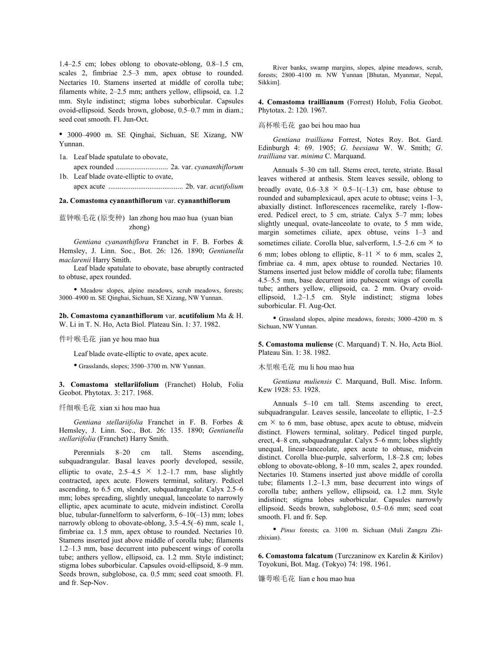1.4–2.5 cm; lobes oblong to obovate-oblong, 0.8–1.5 cm, scales 2, fimbriae 2.5–3 mm, apex obtuse to rounded. Nectaries 10. Stamens inserted at middle of corolla tube; filaments white, 2–2.5 mm; anthers yellow, ellipsoid, ca. 1.2 mm. Style indistinct; stigma lobes suborbicular. Capsules ovoid-ellipsoid. Seeds brown, globose, 0.5–0.7 mm in diam.; seed coat smooth. Fl. Jun-Oct.

• 3000–4900 m. SE Qinghai, Sichuan, SE Xizang, NW Yunnan.

- 1a. Leaf blade spatulate to obovate, apex rounded ............................ 2a. var. *cyananthiflorum*
- 1b. Leaf blade ovate-elliptic to ovate, apex acute ........................................ 2b. var. *acutifolium*

### **2a. Comastoma cyananthiflorum** var. **cyananthiflorum**

蓝钟喉毛花 (原变种) lan zhong hou mao hua (yuan bian zhong)

*Gentiana cyananthiflora* Franchet in F. B. Forbes & Hemsley, J. Linn. Soc., Bot. 26: 126. 1890; *Gentianella maclarenii* Harry Smith.

Leaf blade spatulate to obovate, base abruptly contracted to obtuse, apex rounded.

• Meadow slopes, alpine meadows, scrub meadows, forests; 3000–4900 m. SE Qinghai, Sichuan, SE Xizang, NW Yunnan.

**2b. Comastoma cyananthiflorum** var. **acutifolium** Ma & H. W. Li in T. N. Ho, Acta Biol. Plateau Sin. 1: 37. 1982.

件叶喉毛花 jian ye hou mao hua

Leaf blade ovate-elliptic to ovate, apex acute.

• Grasslands, slopes; 3500–3700 m. NW Yunnan.

**3. Comastoma stellariifolium** (Franchet) Holub, Folia Geobot. Phytotax. 3: 217. 1968.

纤细喉毛花 xian xi hou mao hua

*Gentiana stellariifolia* Franchet in F. B. Forbes & Hemsley, J. Linn. Soc., Bot. 26: 135. 1890; *Gentianella stellariifolia* (Franchet) Harry Smith.

Perennials 8–20 cm tall. Stems ascending, subquadrangular. Basal leaves poorly developed, sessile, elliptic to ovate,  $2.5-4.5 \times 1.2-1.7$  mm, base slightly contracted, apex acute. Flowers terminal, solitary. Pedicel ascending, to 6.5 cm, slender, subquadrangular. Calyx 2.5–6 mm; lobes spreading, slightly unequal, lanceolate to narrowly elliptic, apex acuminate to acute, midvein indistinct. Corolla blue, tubular-funnelform to salverform, 6–10(–13) mm; lobes narrowly oblong to obovate-oblong, 3.5–4.5(–6) mm, scale 1, fimbriae ca. 1.5 mm, apex obtuse to rounded. Nectaries 10. Stamens inserted just above middle of corolla tube; filaments 1.2–1.3 mm, base decurrent into pubescent wings of corolla tube; anthers yellow, ellipsoid, ca. 1.2 mm. Style indistinct; stigma lobes suborbicular. Capsules ovoid-ellipsoid, 8–9 mm. Seeds brown, subglobose, ca. 0.5 mm; seed coat smooth. Fl. and fr. Sep-Nov.

River banks, swamp margins, slopes, alpine meadows, scrub, forests; 2800–4100 m. NW Yunnan [Bhutan, Myanmar, Nepal, Sikkim].

**4. Comastoma traillianum** (Forrest) Holub, Folia Geobot. Phytotax. 2: 120. 1967.

高杯喉毛花 gao bei hou mao hua

*Gentiana trailliana* Forrest, Notes Roy. Bot. Gard. Edinburgh 4: 69. 1905; *G*. *beesiana* W. W. Smith; *G*. *trailliana* var. *minima* C. Marquand.

Annuals 5–30 cm tall. Stems erect, terete, striate. Basal leaves withered at anthesis. Stem leaves sessile, oblong to broadly ovate,  $0.6-3.8 \times 0.5-1(-1.3)$  cm, base obtuse to rounded and subamplexicaul, apex acute to obtuse; veins 1–3, abaxially distinct. Inflorescences racemelike, rarely 1-flowered. Pedicel erect, to 5 cm, striate. Calyx 5–7 mm; lobes slightly unequal, ovate-lanceolate to ovate, to 5 mm wide, margin sometimes ciliate, apex obtuse, veins 1–3 and sometimes ciliate. Corolla blue, salverform,  $1.5-2.6$  cm  $\times$  to 6 mm; lobes oblong to elliptic,  $8-11 \times$  to 6 mm, scales 2, fimbriae ca. 4 mm, apex obtuse to rounded. Nectaries 10. Stamens inserted just below middle of corolla tube; filaments 4.5–5.5 mm, base decurrent into pubescent wings of corolla tube; anthers yellow, ellipsoid, ca. 2 mm. Ovary ovoidellipsoid, 1.2–1.5 cm. Style indistinct; stigma lobes suborbicular. Fl. Aug-Oct.

• Grassland slopes, alpine meadows, forests; 3000–4200 m. S Sichuan, NW Yunnan.

**5. Comastoma muliense** (C. Marquand) T. N. Ho, Acta Biol. Plateau Sin. 1: 38. 1982.

木里喉毛花 mu li hou mao hua

*Gentiana muliensis* C. Marquand, Bull. Misc. Inform. Kew 1928: 53. 1928.

Annuals 5–10 cm tall. Stems ascending to erect, subquadrangular. Leaves sessile, lanceolate to elliptic, 1–2.5  $cm \times$  to 6 mm, base obtuse, apex acute to obtuse, midvein distinct. Flowers terminal, solitary. Pedicel tinged purple, erect, 4–8 cm, subquadrangular. Calyx 5–6 mm; lobes slightly unequal, linear-lanceolate, apex acute to obtuse, midvein distinct. Corolla blue-purple, salverform, 1.8–2.8 cm; lobes oblong to obovate-oblong, 8–10 mm, scales 2, apex rounded. Nectaries 10. Stamens inserted just above middle of corolla tube; filaments 1.2–1.3 mm, base decurrent into wings of corolla tube; anthers yellow, ellipsoid, ca. 1.2 mm. Style indistinct; stigma lobes suborbicular. Capsules narrowly ellipsoid. Seeds brown, subglobose, 0.5–0.6 mm; seed coat smooth. Fl. and fr. Sep.

• *Pinus* forests; ca. 3100 m. Sichuan (Muli Zangzu Zhizhixian).

**6. Comastoma falcatum** (Turczaninow ex Karelin & Kirilov) Toyokuni, Bot. Mag. (Tokyo) 74: 198. 1961.

镰萼喉毛花 lian e hou mao hua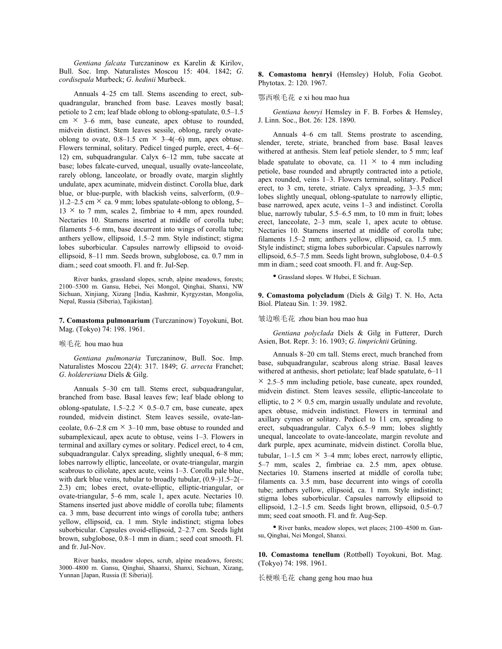*Gentiana falcata* Turczaninow ex Karelin & Kirilov, Bull. Soc. Imp. Naturalistes Moscou 15: 404. 1842; *G*. *cordisepala* Murbeck; *G*. *hedinii* Murbeck.

Annuals 4–25 cm tall. Stems ascending to erect, subquadrangular, branched from base. Leaves mostly basal; petiole to 2 cm; leaf blade oblong to oblong-spatulate, 0.5–1.5  $\text{cm} \times$  3–6 mm, base cuneate, apex obtuse to rounded, midvein distinct. Stem leaves sessile, oblong, rarely ovateoblong to ovate,  $0.8-1.5$  cm  $\times$  3-4(-6) mm, apex obtuse. Flowers terminal, solitary. Pedicel tinged purple, erect, 4–6(– 12) cm, subquadrangular. Calyx 6–12 mm, tube saccate at base; lobes falcate-curved, unequal, usually ovate-lanceolate, rarely oblong, lanceolate, or broadly ovate, margin slightly undulate, apex acuminate, midvein distinct. Corolla blue, dark blue, or blue-purple, with blackish veins, salverform, (0.9– )1.2–2.5 cm  $\times$  ca. 9 mm; lobes spatulate-oblong to oblong, 5–  $13 \times$  to 7 mm, scales 2, fimbriae to 4 mm, apex rounded. Nectaries 10. Stamens inserted at middle of corolla tube; filaments 5–6 mm, base decurrent into wings of corolla tube; anthers yellow, ellipsoid, 1.5–2 mm. Style indistinct; stigma lobes suborbicular. Capsules narrowly ellipsoid to ovoidellipsoid, 8–11 mm. Seeds brown, subglobose, ca. 0.7 mm in diam.; seed coat smooth. Fl. and fr. Jul-Sep.

River banks, grassland slopes, scrub, alpine meadows, forests; 2100–5300 m. Gansu, Hebei, Nei Mongol, Qinghai, Shanxi, NW Sichuan, Xinjiang, Xizang [India, Kashmir, Kyrgyzstan, Mongolia, Nepal, Russia (Siberia), Tajikistan].

**7. Comastoma pulmonarium** (Turczaninow) Toyokuni, Bot. Mag. (Tokyo) 74: 198. 1961.

#### 喉毛花 hou mao hua

*Gentiana pulmonaria* Turczaninow, Bull. Soc. Imp. Naturalistes Moscou 22(4): 317. 1849; *G*. *arrecta* Franchet; *G*. *holdereriana* Diels & Gilg.

Annuals 5–30 cm tall. Stems erect, subquadrangular, branched from base. Basal leaves few; leaf blade oblong to oblong-spatulate,  $1.5-2.2 \times 0.5-0.7$  cm, base cuneate, apex rounded, midvein distinct. Stem leaves sessile, ovate-lanceolate,  $0.6-2.8$  cm  $\times$  3-10 mm, base obtuse to rounded and subamplexicaul, apex acute to obtuse, veins 1–3. Flowers in terminal and axillary cymes or solitary. Pedicel erect, to 4 cm, subquadrangular. Calyx spreading, slightly unequal, 6–8 mm; lobes narrowly elliptic, lanceolate, or ovate-triangular, margin scabrous to ciliolate, apex acute, veins 1–3. Corolla pale blue, with dark blue veins, tubular to broadly tubular,  $(0.9-)1.5-2($ 2.3) cm; lobes erect, ovate-elliptic, elliptic-triangular, or ovate-triangular, 5–6 mm, scale 1, apex acute. Nectaries 10. Stamens inserted just above middle of corolla tube; filaments ca. 3 mm, base decurrent into wings of corolla tube; anthers yellow, ellipsoid, ca. 1 mm. Style indistinct; stigma lobes suborbicular. Capsules ovoid-ellipsoid, 2–2.7 cm. Seeds light brown, subglobose, 0.8–1 mm in diam.; seed coat smooth. Fl. and fr. Jul-Nov.

River banks, meadow slopes, scrub, alpine meadows, forests; 3000–4800 m. Gansu, Qinghai, Shaanxi, Shanxi, Sichuan, Xizang, Yunnan [Japan, Russia (E Siberia)].

**8. Comastoma henryi** (Hemsley) Holub, Folia Geobot. Phytotax. 2: 120. 1967.

#### 鄂西喉毛花 e xi hou mao hua

*Gentiana henryi* Hemsley in F. B. Forbes & Hemsley, J. Linn. Soc., Bot. 26: 128. 1890.

Annuals 4–6 cm tall. Stems prostrate to ascending, slender, terete, striate, branched from base. Basal leaves withered at anthesis. Stem leaf petiole slender, to 5 mm; leaf blade spatulate to obovate, ca.  $11 \times$  to 4 mm including petiole, base rounded and abruptly contracted into a petiole, apex rounded, veins 1–3. Flowers terminal, solitary. Pedicel erect, to 3 cm, terete, striate. Calyx spreading, 3–3.5 mm; lobes slightly unequal, oblong-spatulate to narrowly elliptic, base narrowed, apex acute, veins 1–3 and indistinct. Corolla blue, narrowly tubular, 5.5–6.5 mm, to 10 mm in fruit; lobes erect, lanceolate, 2–3 mm, scale 1, apex acute to obtuse. Nectaries 10. Stamens inserted at middle of corolla tube; filaments 1.5–2 mm; anthers yellow, ellipsoid, ca. 1.5 mm. Style indistinct; stigma lobes suborbicular. Capsules narrowly ellipsoid, 6.5–7.5 mm. Seeds light brown, subglobose, 0.4–0.5 mm in diam.; seed coat smooth. Fl. and fr. Aug-Sep.

• Grassland slopes. W Hubei, E Sichuan.

**9. Comastoma polycladum** (Diels & Gilg) T. N. Ho, Acta Biol. Plateau Sin. 1: 39. 1982.

## 皱边喉毛花 zhou bian hou mao hua

*Gentiana polyclada* Diels & Gilg in Futterer, Durch Asien, Bot. Repr. 3: 16. 1903; *G*. *limprichtii* Grüning.

Annuals 8–20 cm tall. Stems erect, much branched from base, subquadrangular, scabrous along striae. Basal leaves withered at anthesis, short petiolate; leaf blade spatulate, 6–11  $\times$  2.5–5 mm including petiole, base cuneate, apex rounded, midvein distinct. Stem leaves sessile, elliptic-lanceolate to elliptic, to  $2 \times 0.5$  cm, margin usually undulate and revolute, apex obtuse, midvein indistinct. Flowers in terminal and axillary cymes or solitary. Pedicel to 11 cm, spreading to erect, subquadrangular. Calyx 6.5–9 mm; lobes slightly unequal, lanceolate to ovate-lanceolate, margin revolute and dark purple, apex acuminate, midvein distinct. Corolla blue, tubular, 1–1.5 cm  $\times$  3–4 mm; lobes erect, narrowly elliptic, 5–7 mm, scales 2, fimbriae ca. 2.5 mm, apex obtuse. Nectaries 10. Stamens inserted at middle of corolla tube; filaments ca. 3.5 mm, base decurrent into wings of corolla tube; anthers yellow, ellipsoid, ca. 1 mm. Style indistinct; stigma lobes suborbicular. Capsules narrowly ellipsoid to ellipsoid, 1.2–1.5 cm. Seeds light brown, ellipsoid, 0.5–0.7 mm; seed coat smooth. Fl. and fr. Aug-Sep.

• River banks, meadow slopes, wet places; 2100–4500 m. Gansu, Qinghai, Nei Mongol, Shanxi.

**10. Comastoma tenellum** (Rottbøll) Toyokuni, Bot. Mag. (Tokyo) 74: 198. 1961.

长梗喉毛花 chang geng hou mao hua